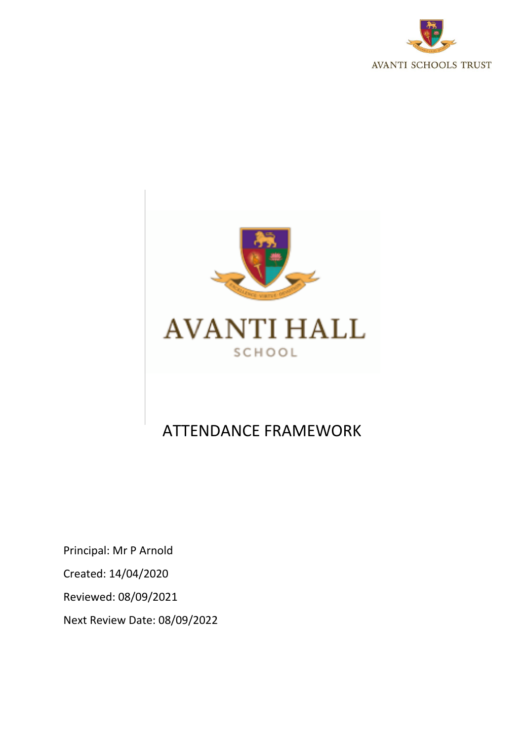



# ATTENDANCE FRAMEWORK

Principal: Mr P Arnold Created: 14/04/2020 Reviewed: 08/09/2021 Next Review Date: 08/09/2022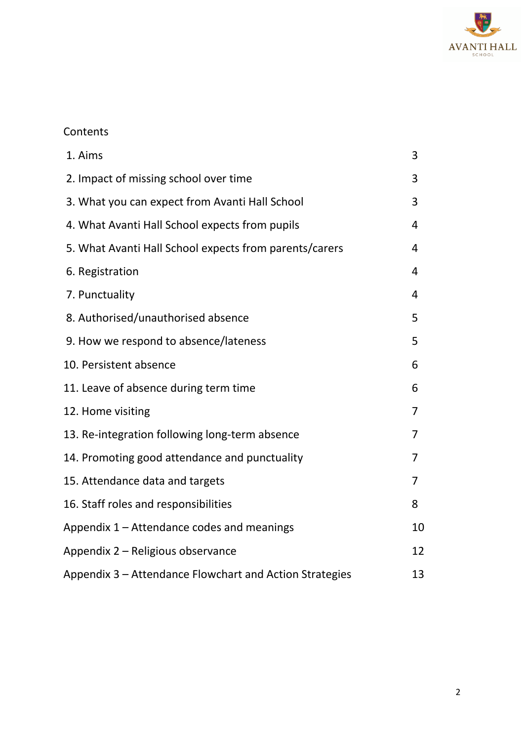

# **Contents**

| 1. Aims                                                 | 3  |
|---------------------------------------------------------|----|
| 2. Impact of missing school over time                   | 3  |
| 3. What you can expect from Avanti Hall School          | 3  |
| 4. What Avanti Hall School expects from pupils          | 4  |
| 5. What Avanti Hall School expects from parents/carers  | 4  |
| 6. Registration                                         | 4  |
| 7. Punctuality                                          | 4  |
| 8. Authorised/unauthorised absence                      | 5  |
| 9. How we respond to absence/lateness                   | 5  |
| 10. Persistent absence                                  | 6  |
| 11. Leave of absence during term time                   | 6  |
| 12. Home visiting                                       | 7  |
| 13. Re-integration following long-term absence          | 7  |
| 14. Promoting good attendance and punctuality           | 7  |
| 15. Attendance data and targets                         | 7  |
| 16. Staff roles and responsibilities                    | 8  |
| Appendix 1 - Attendance codes and meanings              | 10 |
| Appendix 2 – Religious observance                       | 12 |
| Appendix 3 – Attendance Flowchart and Action Strategies | 13 |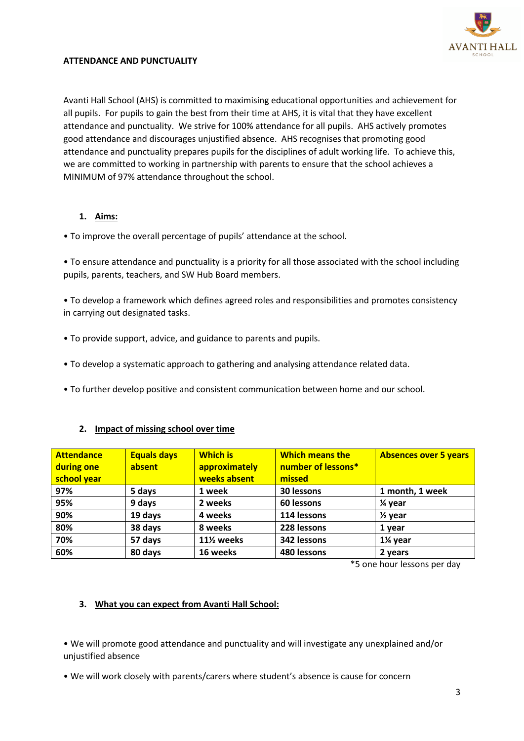

### **ATTENDANCE AND PUNCTUALITY**

Avanti Hall School (AHS) is committed to maximising educational opportunities and achievement for all pupils. For pupils to gain the best from their time at AHS, it is vital that they have excellent attendance and punctuality. We strive for 100% attendance for all pupils. AHS actively promotes good attendance and discourages unjustified absence. AHS recognises that promoting good attendance and punctuality prepares pupils for the disciplines of adult working life. To achieve this, we are committed to working in partnership with parents to ensure that the school achieves a MINIMUM of 97% attendance throughout the school.

#### **1. Aims:**

• To improve the overall percentage of pupils' attendance at the school.

• To ensure attendance and punctuality is a priority for all those associated with the school including pupils, parents, teachers, and SW Hub Board members.

• To develop a framework which defines agreed roles and responsibilities and promotes consistency in carrying out designated tasks.

- To provide support, advice, and guidance to parents and pupils.
- To develop a systematic approach to gathering and analysing attendance related data.
- To further develop positive and consistent communication between home and our school.

# **2. Impact of missing school over time**

| <b>Attendance</b><br>during one<br>school year | <b>Equals days</b><br>absent | <b>Which is</b><br>approximately<br>weeks absent | <b>Which means the</b><br>number of lessons*<br>missed | <b>Absences over 5 years</b> |
|------------------------------------------------|------------------------------|--------------------------------------------------|--------------------------------------------------------|------------------------------|
| 97%                                            | 5 days                       | 1 week                                           | 30 lessons                                             | 1 month, 1 week              |
| 95%                                            | 9 days                       | 2 weeks                                          | 60 lessons                                             | 1⁄4 year                     |
| 90%                                            | 19 days                      | 4 weeks                                          | 114 lessons                                            | $\frac{1}{2}$ year           |
| 80%                                            | 38 days                      | 8 weeks                                          | 228 lessons                                            | 1 year                       |
| 70%                                            | 57 days                      | 11 <sup>%</sup> weeks                            | 342 lessons                                            | 1¼ year                      |
| 60%                                            | 80 days                      | 16 weeks                                         | 480 lessons                                            | 2 years                      |

\*5 one hour lessons per day

#### **3. What you can expect from Avanti Hall School:**

• We will promote good attendance and punctuality and will investigate any unexplained and/or unjustified absence

• We will work closely with parents/carers where student's absence is cause for concern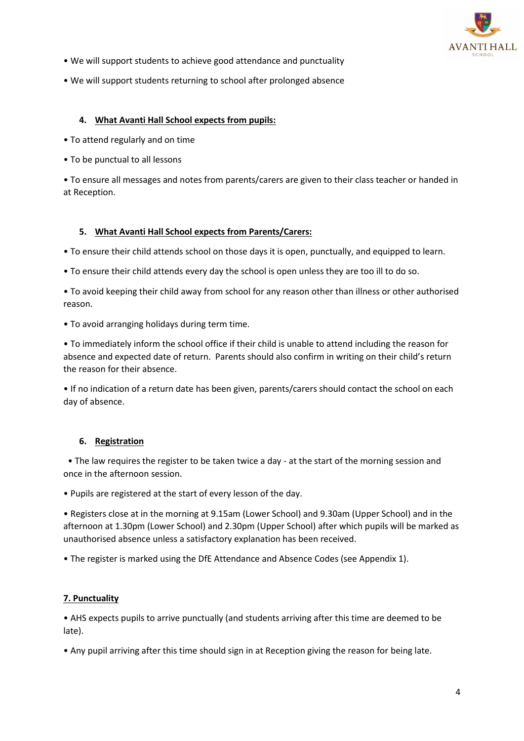

- We will support students to achieve good attendance and punctuality
- We will support students returning to school after prolonged absence

#### **4. What Avanti Hall School expects from pupils:**

- To attend regularly and on time
- To be punctual to all lessons

• To ensure all messages and notes from parents/carers are given to their class teacher or handed in at Reception.

#### **5. What Avanti Hall School expects from Parents/Carers:**

• To ensure their child attends school on those days it is open, punctually, and equipped to learn.

• To ensure their child attends every day the school is open unless they are too ill to do so.

• To avoid keeping their child away from school for any reason other than illness or other authorised reason.

• To avoid arranging holidays during term time.

• To immediately inform the school office if their child is unable to attend including the reason for absence and expected date of return. Parents should also confirm in writing on their child's return the reason for their absence.

• If no indication of a return date has been given, parents/carers should contact the school on each day of absence.

# **6. Registration**

 • The law requires the register to be taken twice a day - at the start of the morning session and once in the afternoon session.

• Pupils are registered at the start of every lesson of the day.

• Registers close at in the morning at 9.15am (Lower School) and 9.30am (Upper School) and in the afternoon at 1.30pm (Lower School) and 2.30pm (Upper School) after which pupils will be marked as unauthorised absence unless a satisfactory explanation has been received.

• The register is marked using the DfE Attendance and Absence Codes (see Appendix 1).

# **7. Punctuality**

• AHS expects pupils to arrive punctually (and students arriving after this time are deemed to be late).

• Any pupil arriving after this time should sign in at Reception giving the reason for being late.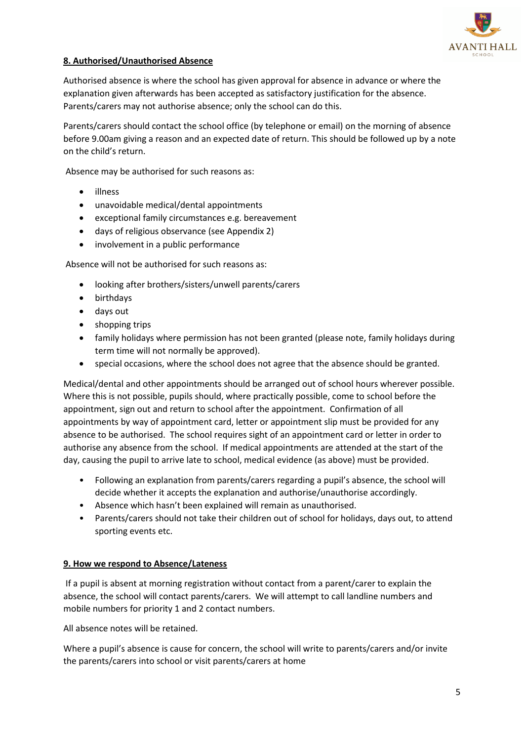

# **8. Authorised/Unauthorised Absence**

Authorised absence is where the school has given approval for absence in advance or where the explanation given afterwards has been accepted as satisfactory justification for the absence. Parents/carers may not authorise absence; only the school can do this.

Parents/carers should contact the school office (by telephone or email) on the morning of absence before 9.00am giving a reason and an expected date of return. This should be followed up by a note on the child's return.

Absence may be authorised for such reasons as:

- illness
- unavoidable medical/dental appointments
- exceptional family circumstances e.g. bereavement
- days of religious observance (see Appendix 2)
- involvement in a public performance

Absence will not be authorised for such reasons as:

- looking after brothers/sisters/unwell parents/carers
- birthdays
- days out
- shopping trips
- family holidays where permission has not been granted (please note, family holidays during term time will not normally be approved).
- special occasions, where the school does not agree that the absence should be granted.

Medical/dental and other appointments should be arranged out of school hours wherever possible. Where this is not possible, pupils should, where practically possible, come to school before the appointment, sign out and return to school after the appointment. Confirmation of all appointments by way of appointment card, letter or appointment slip must be provided for any absence to be authorised. The school requires sight of an appointment card or letter in order to authorise any absence from the school. If medical appointments are attended at the start of the day, causing the pupil to arrive late to school, medical evidence (as above) must be provided.

- Following an explanation from parents/carers regarding a pupil's absence, the school will decide whether it accepts the explanation and authorise/unauthorise accordingly.
- Absence which hasn't been explained will remain as unauthorised.
- Parents/carers should not take their children out of school for holidays, days out, to attend sporting events etc.

#### **9. How we respond to Absence/Lateness**

If a pupil is absent at morning registration without contact from a parent/carer to explain the absence, the school will contact parents/carers. We will attempt to call landline numbers and mobile numbers for priority 1 and 2 contact numbers.

All absence notes will be retained.

Where a pupil's absence is cause for concern, the school will write to parents/carers and/or invite the parents/carers into school or visit parents/carers at home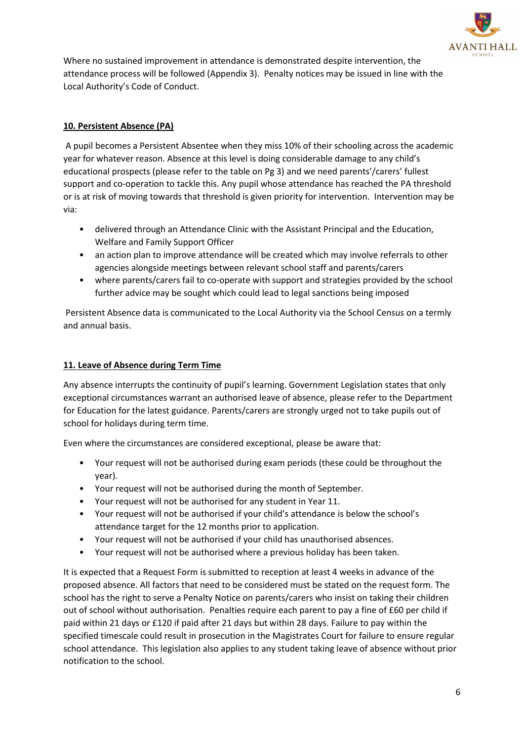

Where no sustained improvement in attendance is demonstrated despite intervention, the attendance process will be followed (Appendix 3). Penalty notices may be issued in line with the Local Authority's Code of Conduct.

# **10. Persistent Absence (PA)**

A pupil becomes a Persistent Absentee when they miss 10% of their schooling across the academic year for whatever reason. Absence at this level is doing considerable damage to any child's educational prospects (please refer to the table on Pg 3) and we need parents'/carers' fullest support and co-operation to tackle this. Any pupil whose attendance has reached the PA threshold or is at risk of moving towards that threshold is given priority for intervention. Intervention may be via:

- delivered through an Attendance Clinic with the Assistant Principal and the Education, Welfare and Family Support Officer
- an action plan to improve attendance will be created which may involve referrals to other agencies alongside meetings between relevant school staff and parents/carers
- where parents/carers fail to co-operate with support and strategies provided by the school further advice may be sought which could lead to legal sanctions being imposed

Persistent Absence data is communicated to the Local Authority via the School Census on a termly and annual basis.

# **11. Leave of Absence during Term Time**

Any absence interrupts the continuity of pupil's learning. Government Legislation states that only exceptional circumstances warrant an authorised leave of absence, please refer to the Department for Education for the latest guidance. Parents/carers are strongly urged not to take pupils out of school for holidays during term time.

Even where the circumstances are considered exceptional, please be aware that:

- Your request will not be authorised during exam periods (these could be throughout the year).
- Your request will not be authorised during the month of September.
- Your request will not be authorised for any student in Year 11.
- Your request will not be authorised if your child's attendance is below the school's attendance target for the 12 months prior to application.
- Your request will not be authorised if your child has unauthorised absences.
- Your request will not be authorised where a previous holiday has been taken.

It is expected that a Request Form is submitted to reception at least 4 weeks in advance of the proposed absence. All factors that need to be considered must be stated on the request form. The school has the right to serve a Penalty Notice on parents/carers who insist on taking their children out of school without authorisation. Penalties require each parent to pay a fine of £60 per child if paid within 21 days or £120 if paid after 21 days but within 28 days. Failure to pay within the specified timescale could result in prosecution in the Magistrates Court for failure to ensure regular school attendance. This legislation also applies to any student taking leave of absence without prior notification to the school.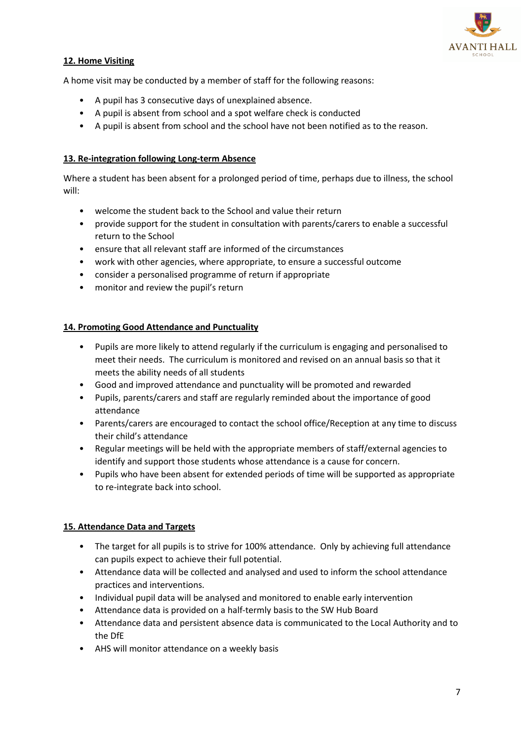

# **12. Home Visiting**

A home visit may be conducted by a member of staff for the following reasons:

- A pupil has 3 consecutive days of unexplained absence.
- A pupil is absent from school and a spot welfare check is conducted
- A pupil is absent from school and the school have not been notified as to the reason.

# **13. Re-integration following Long-term Absence**

Where a student has been absent for a prolonged period of time, perhaps due to illness, the school will:

- welcome the student back to the School and value their return
- provide support for the student in consultation with parents/carers to enable a successful return to the School
- ensure that all relevant staff are informed of the circumstances
- work with other agencies, where appropriate, to ensure a successful outcome
- consider a personalised programme of return if appropriate
- monitor and review the pupil's return

# **14. Promoting Good Attendance and Punctuality**

- Pupils are more likely to attend regularly if the curriculum is engaging and personalised to meet their needs. The curriculum is monitored and revised on an annual basis so that it meets the ability needs of all students
- Good and improved attendance and punctuality will be promoted and rewarded
- Pupils, parents/carers and staff are regularly reminded about the importance of good attendance
- Parents/carers are encouraged to contact the school office/Reception at any time to discuss their child's attendance
- Regular meetings will be held with the appropriate members of staff/external agencies to identify and support those students whose attendance is a cause for concern.
- Pupils who have been absent for extended periods of time will be supported as appropriate to re-integrate back into school.

# **15. Attendance Data and Targets**

- The target for all pupils is to strive for 100% attendance. Only by achieving full attendance can pupils expect to achieve their full potential.
- Attendance data will be collected and analysed and used to inform the school attendance practices and interventions.
- Individual pupil data will be analysed and monitored to enable early intervention
- Attendance data is provided on a half-termly basis to the SW Hub Board
- Attendance data and persistent absence data is communicated to the Local Authority and to the DfE
- AHS will monitor attendance on a weekly basis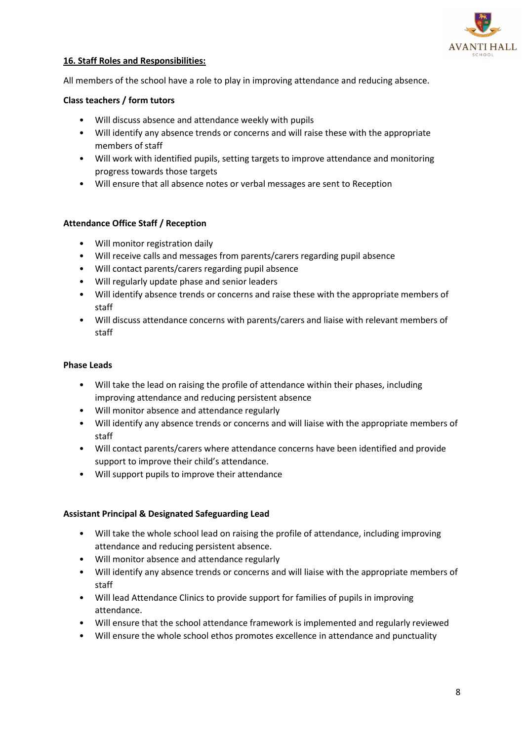

#### **16. Staff Roles and Responsibilities:**

All members of the school have a role to play in improving attendance and reducing absence.

#### **Class teachers / form tutors**

- Will discuss absence and attendance weekly with pupils
- Will identify any absence trends or concerns and will raise these with the appropriate members of staff
- Will work with identified pupils, setting targets to improve attendance and monitoring progress towards those targets
- Will ensure that all absence notes or verbal messages are sent to Reception

#### **Attendance Office Staff / Reception**

- Will monitor registration daily
- Will receive calls and messages from parents/carers regarding pupil absence
- Will contact parents/carers regarding pupil absence
- Will regularly update phase and senior leaders
- Will identify absence trends or concerns and raise these with the appropriate members of staff
- Will discuss attendance concerns with parents/carers and liaise with relevant members of staff

#### **Phase Leads**

- Will take the lead on raising the profile of attendance within their phases, including improving attendance and reducing persistent absence
- Will monitor absence and attendance regularly
- Will identify any absence trends or concerns and will liaise with the appropriate members of staff
- Will contact parents/carers where attendance concerns have been identified and provide support to improve their child's attendance.
- Will support pupils to improve their attendance

#### **Assistant Principal & Designated Safeguarding Lead**

- Will take the whole school lead on raising the profile of attendance, including improving attendance and reducing persistent absence.
- Will monitor absence and attendance regularly
- Will identify any absence trends or concerns and will liaise with the appropriate members of staff
- Will lead Attendance Clinics to provide support for families of pupils in improving attendance.
- Will ensure that the school attendance framework is implemented and regularly reviewed
- Will ensure the whole school ethos promotes excellence in attendance and punctuality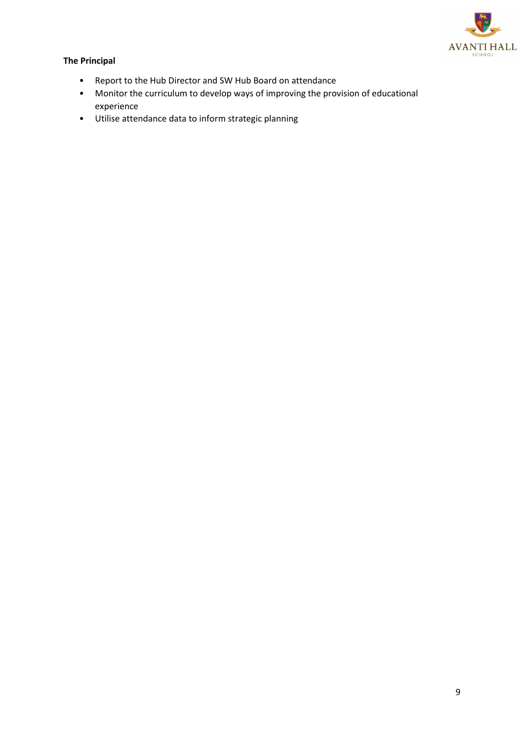

# **The Principal**

- Report to the Hub Director and SW Hub Board on attendance
- Monitor the curriculum to develop ways of improving the provision of educational experience
- Utilise attendance data to inform strategic planning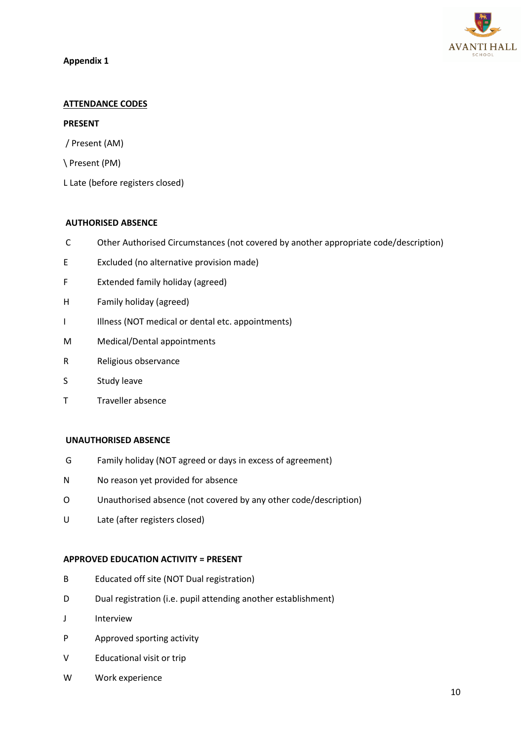

#### **Appendix 1**

#### **ATTENDANCE CODES**

#### **PRESENT**

- / Present (AM)
- \ Present (PM)
- L Late (before registers closed)

#### **AUTHORISED ABSENCE**

- C Other Authorised Circumstances (not covered by another appropriate code/description)
- E Excluded (no alternative provision made)
- F Extended family holiday (agreed)
- H Family holiday (agreed)
- I Illness (NOT medical or dental etc. appointments)
- M Medical/Dental appointments
- R Religious observance
- S Study leave
- T Traveller absence

#### **UNAUTHORISED ABSENCE**

- G Family holiday (NOT agreed or days in excess of agreement)
- N No reason yet provided for absence
- O Unauthorised absence (not covered by any other code/description)
- U Late (after registers closed)

#### **APPROVED EDUCATION ACTIVITY = PRESENT**

- B Educated off site (NOT Dual registration)
- D Dual registration (i.e. pupil attending another establishment)
- J Interview
- P Approved sporting activity
- V Educational visit or trip
- W Work experience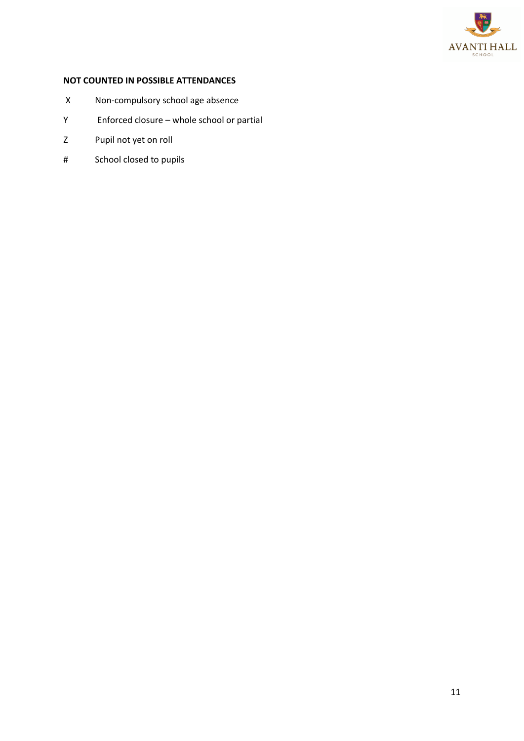

# **NOT COUNTED IN POSSIBLE ATTENDANCES**

- X Non-compulsory school age absence
- Y Enforced closure whole school or partial
- Z Pupil not yet on roll
- # School closed to pupils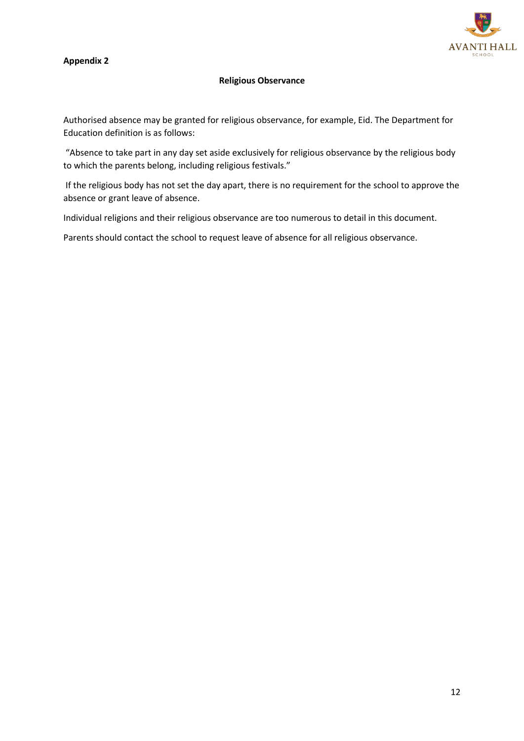# **Appendix 2**



#### **Religious Observance**

Authorised absence may be granted for religious observance, for example, Eid. The Department for Education definition is as follows:

"Absence to take part in any day set aside exclusively for religious observance by the religious body to which the parents belong, including religious festivals."

If the religious body has not set the day apart, there is no requirement for the school to approve the absence or grant leave of absence.

Individual religions and their religious observance are too numerous to detail in this document.

Parents should contact the school to request leave of absence for all religious observance.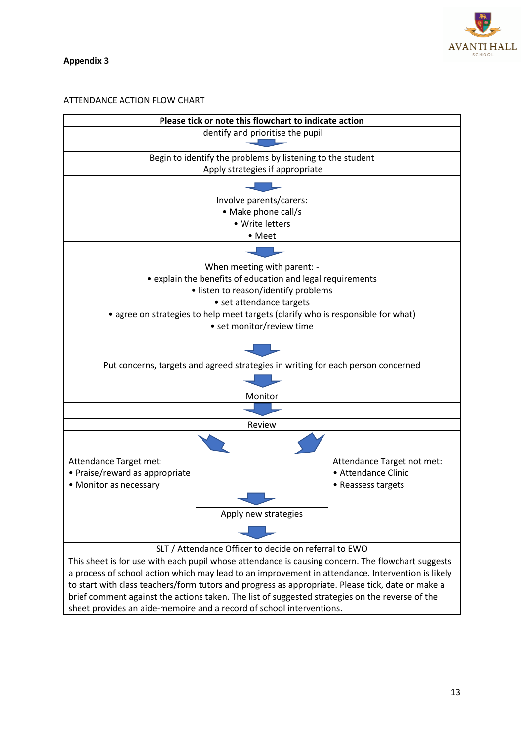

**Appendix 3**

#### ATTENDANCE ACTION FLOW CHART

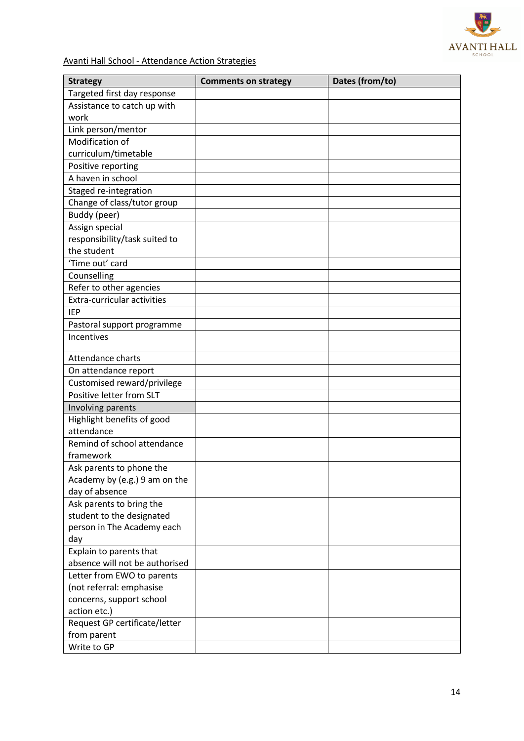

Avanti Hall School - Attendance Action Strategies

| <b>Strategy</b>                    | <b>Comments on strategy</b> | Dates (from/to) |
|------------------------------------|-----------------------------|-----------------|
| Targeted first day response        |                             |                 |
| Assistance to catch up with        |                             |                 |
| work                               |                             |                 |
| Link person/mentor                 |                             |                 |
| Modification of                    |                             |                 |
| curriculum/timetable               |                             |                 |
| Positive reporting                 |                             |                 |
| A haven in school                  |                             |                 |
| Staged re-integration              |                             |                 |
| Change of class/tutor group        |                             |                 |
| Buddy (peer)                       |                             |                 |
| Assign special                     |                             |                 |
| responsibility/task suited to      |                             |                 |
| the student                        |                             |                 |
| 'Time out' card                    |                             |                 |
| Counselling                        |                             |                 |
| Refer to other agencies            |                             |                 |
| <b>Extra-curricular activities</b> |                             |                 |
| <b>IEP</b>                         |                             |                 |
| Pastoral support programme         |                             |                 |
| Incentives                         |                             |                 |
| Attendance charts                  |                             |                 |
| On attendance report               |                             |                 |
| Customised reward/privilege        |                             |                 |
| Positive letter from SLT           |                             |                 |
| Involving parents                  |                             |                 |
| Highlight benefits of good         |                             |                 |
| attendance                         |                             |                 |
| Remind of school attendance        |                             |                 |
| framework                          |                             |                 |
| Ask parents to phone the           |                             |                 |
| Academy by (e.g.) 9 am on the      |                             |                 |
| day of absence                     |                             |                 |
| Ask parents to bring the           |                             |                 |
| student to the designated          |                             |                 |
| person in The Academy each         |                             |                 |
| day                                |                             |                 |
| Explain to parents that            |                             |                 |
| absence will not be authorised     |                             |                 |
| Letter from EWO to parents         |                             |                 |
| (not referral: emphasise           |                             |                 |
| concerns, support school           |                             |                 |
| action etc.)                       |                             |                 |
| Request GP certificate/letter      |                             |                 |
| from parent                        |                             |                 |
| Write to GP                        |                             |                 |